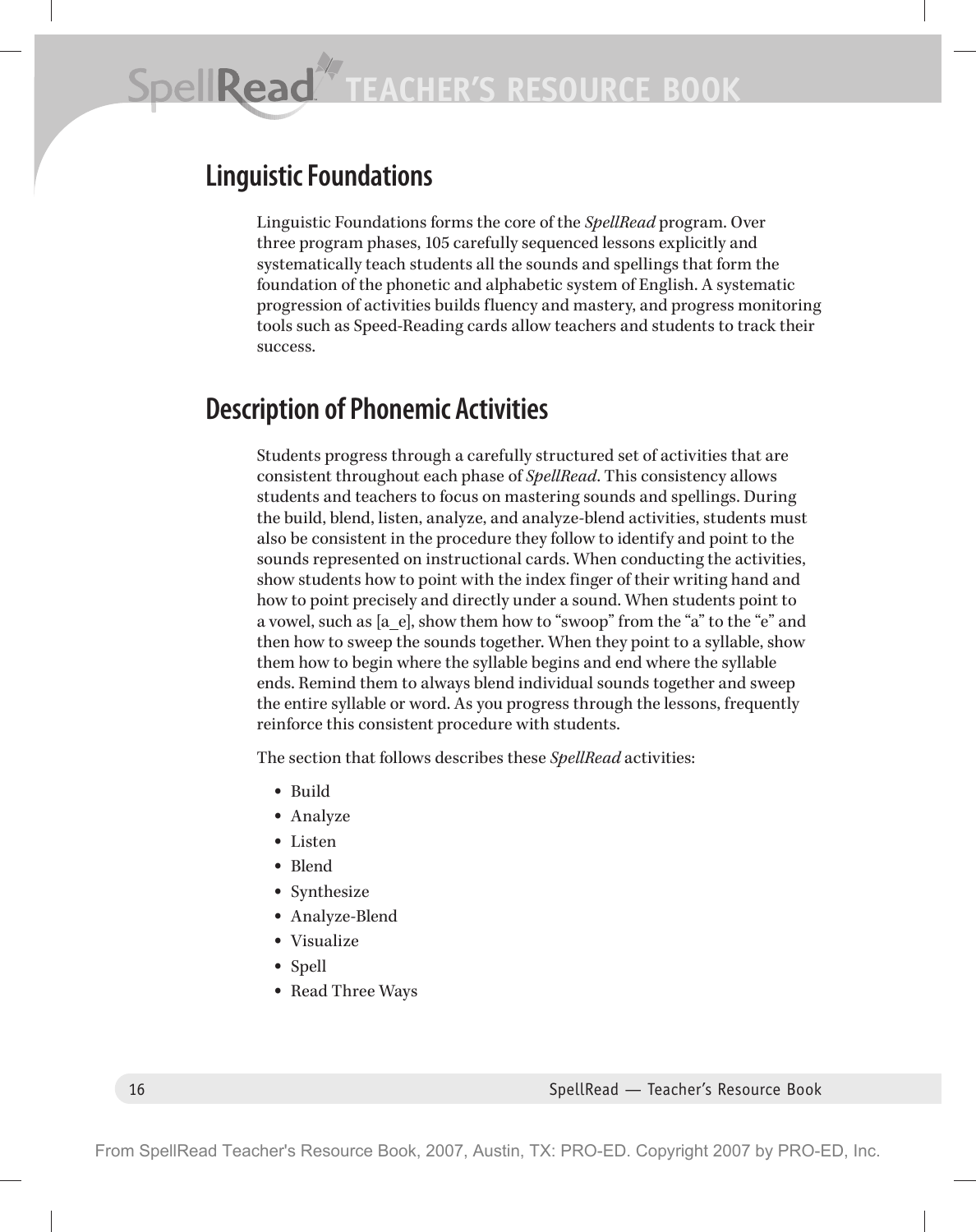# **Linguistic Foundations**

Linguistic Foundations forms the core of the *SpellRead* program. Over three program phases, 105 carefully sequenced lessons explicitly and systematically teach students all the sounds and spellings that form the foundation of the phonetic and alphabetic system of English. A systematic progression of activities builds fluency and mastery, and progress monitoring tools such as Speed-Reading cards allow teachers and students to track their success.

# **Description of Phonemic Activities**

Students progress through a carefully structured set of activities that are consistent throughout each phase of *SpellRead*. This consistency allows students and teachers to focus on mastering sounds and spellings. During the build, blend, listen, analyze, and analyze-blend activities, students must also be consistent in the procedure they follow to identify and point to the sounds represented on instructional cards. When conducting the activities, show students how to point with the index finger of their writing hand and how to point precisely and directly under a sound. When students point to a vowel, such as [a e], show them how to "swoop" from the "a" to the "e" and then how to sweep the sounds together. When they point to a syllable, show them how to begin where the syllable begins and end where the syllable ends. Remind them to always blend individual sounds together and sweep the entire syllable or word. As you progress through the lessons, frequently reinforce this consistent procedure with students.

The section that follows describes these *SpellRead* activities:

- Build
- Analyze
- Listen
- Blend
- Synthesize
- Analyze-Blend
- Visualize
- Spell
- Read Three Ways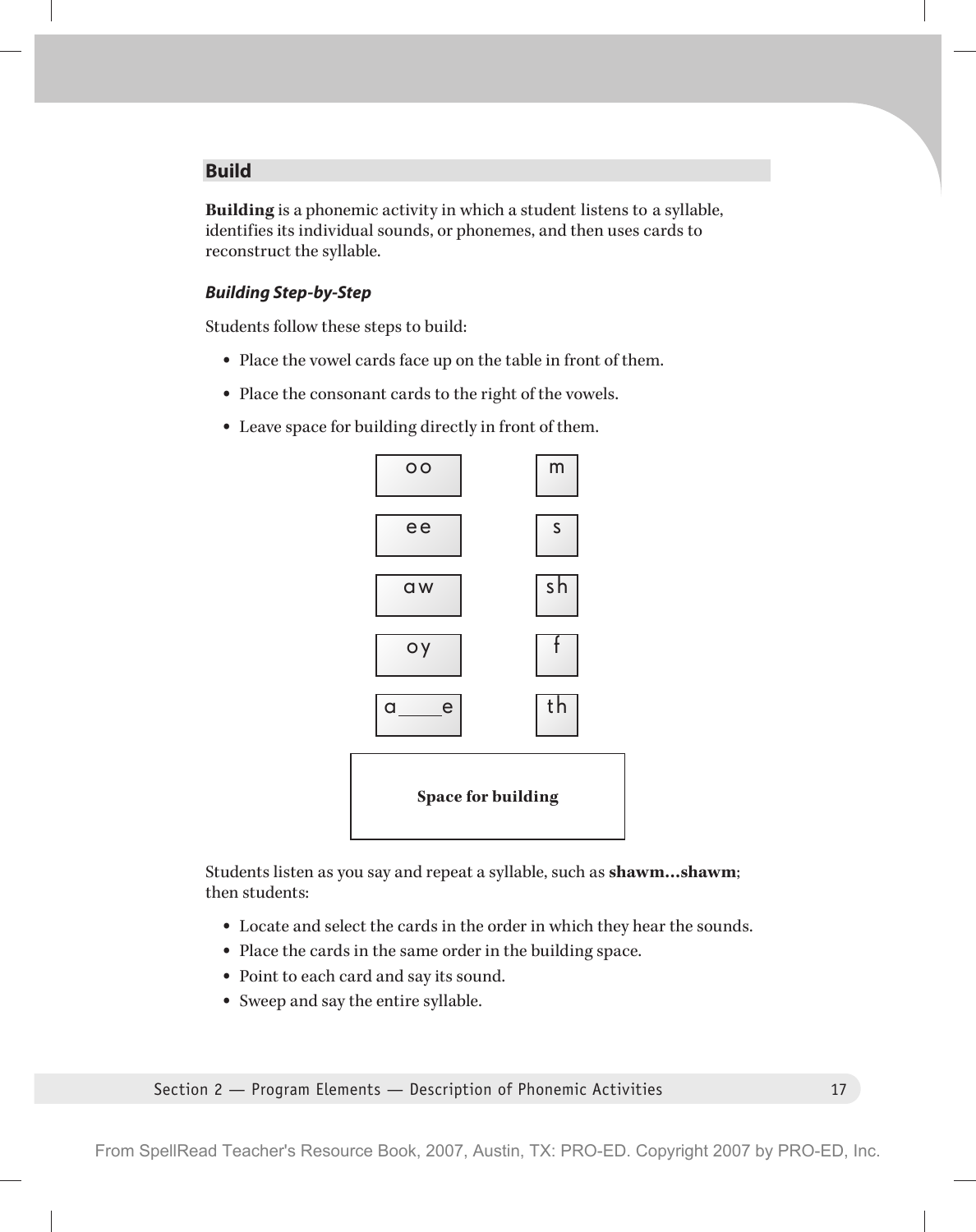## **Build**

**Building** is a phonemic activity in which a student listens to a syllable, identifies its individual sounds, or phonemes, and then uses cards to reconstruct the syllable.

#### *Building Step-by-Step*

Students follow these steps to build:

- Place the vowel cards face up on the table in front of them.
- Place the consonant cards to the right of the vowels.
- Leave space for building directly in front of them.



Students listen as you say and repeat a syllable, such as **shawm…shawm**; then students:

- Locate and select the cards in the order in which they hear the sounds.
- Place the cards in the same order in the building space.
- Point to each card and say its sound.
- Sweep and say the entire syllable.

Section 2 — Program Elements — Description of Phonemic Activities 17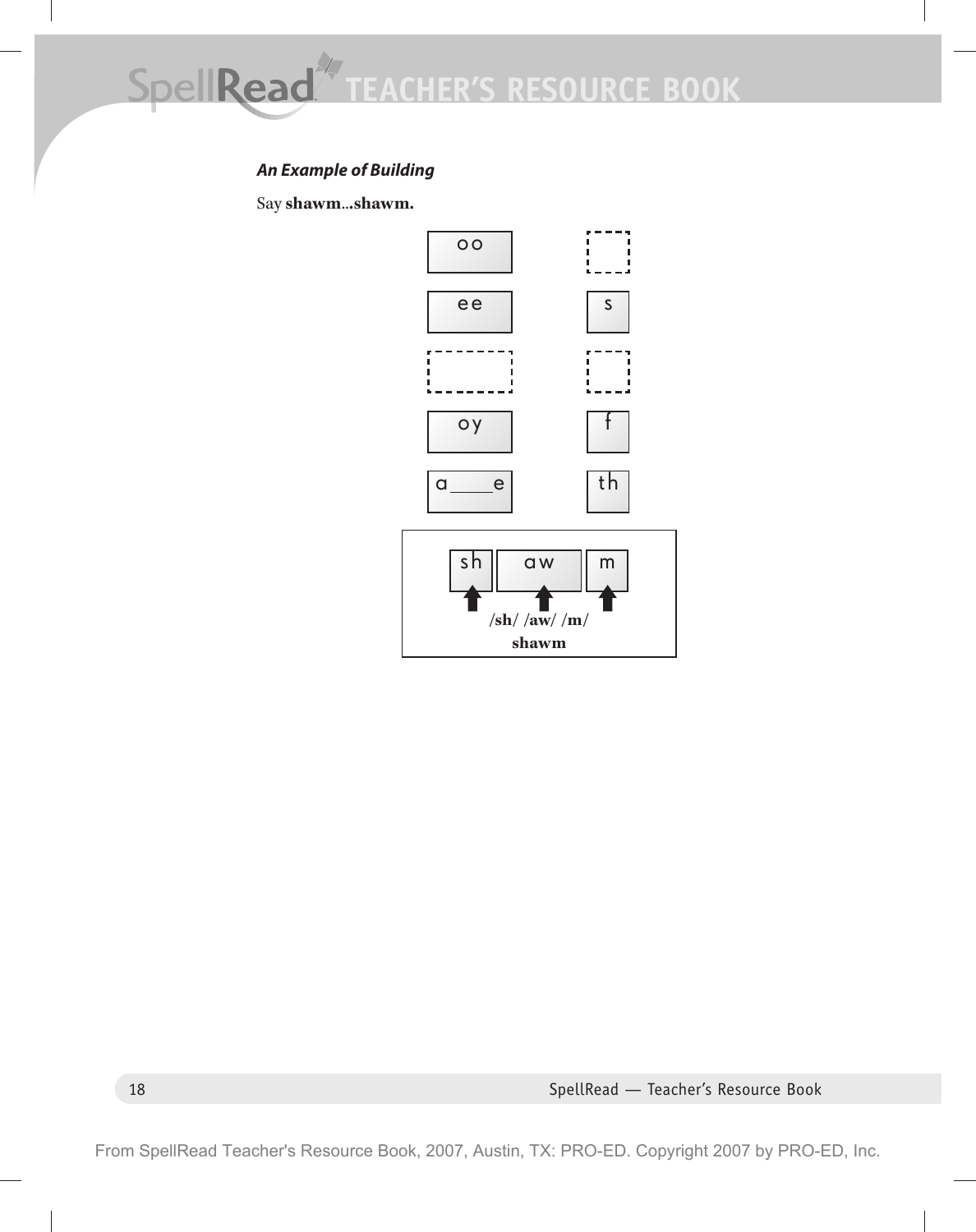# *An Example of Building*

Say **shawm**..**.shawm.**



18 SpellRead — Teacher's Resource Book

From SpellRead Teacher's Resource Book, 2007, Austin, TX: PRO-ED. Copyright 2007 by PRO-ED, Inc.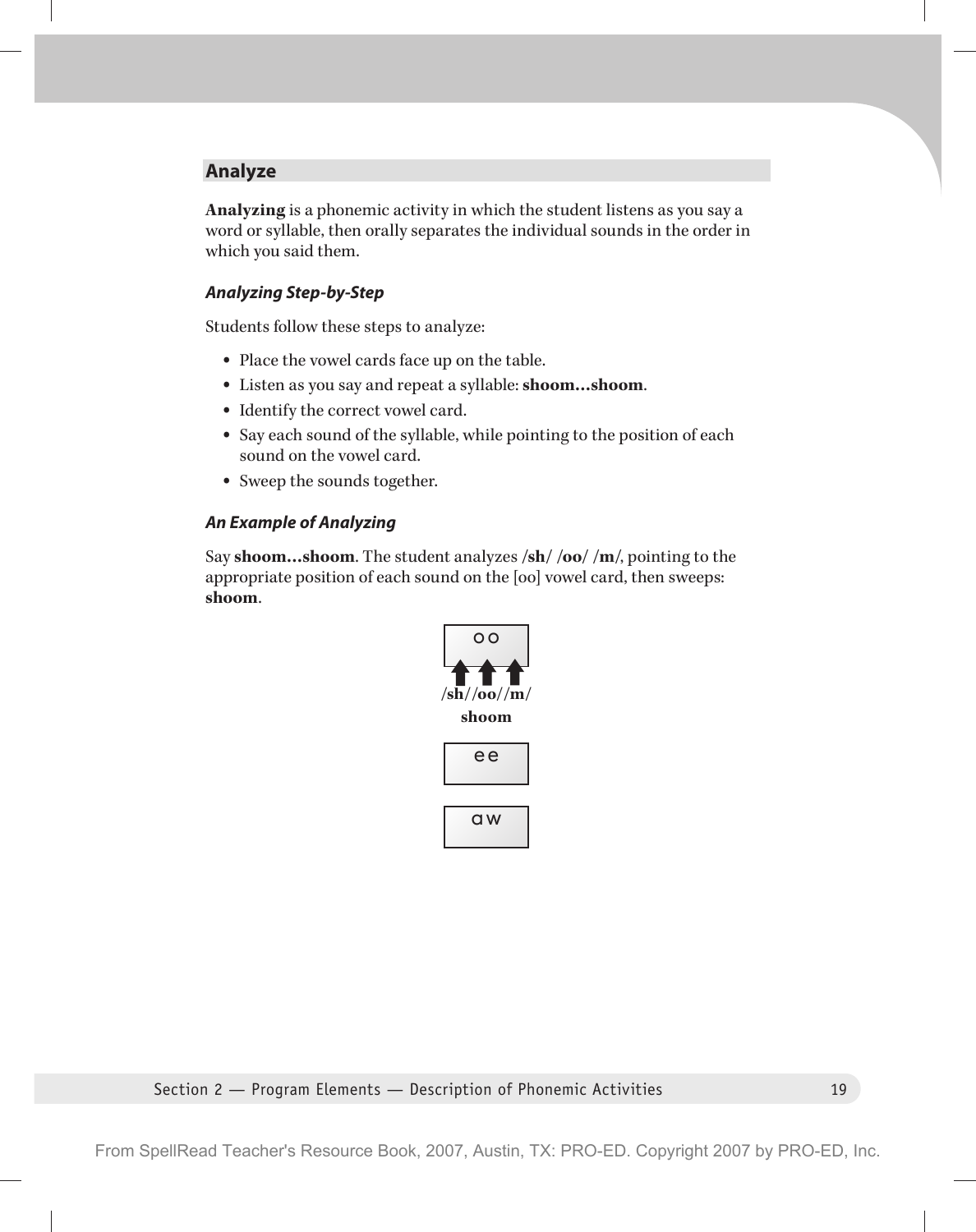## **Analyze**

**Analyzing** is a phonemic activity in which the student listens as you say a word or syllable, then orally separates the individual sounds in the order in which you said them.

#### *Analyzing Step-by-Step*

Students follow these steps to analyze:

- Place the vowel cards face up on the table.
- Listen as you say and repeat a syllable: **shoom…shoom**.
- Identify the correct vowel card.
- Say each sound of the syllable, while pointing to the position of each sound on the vowel card.
- Sweep the sounds together.

#### *An Example of Analyzing*

Say **shoom…shoom**. The student analyzes **/sh/ /oo/ /m/**, pointing to the appropriate position of each sound on the [oo] vowel card, then sweeps: **shoom**.



#### Section 2 — Program Elements — Description of Phonemic Activities 19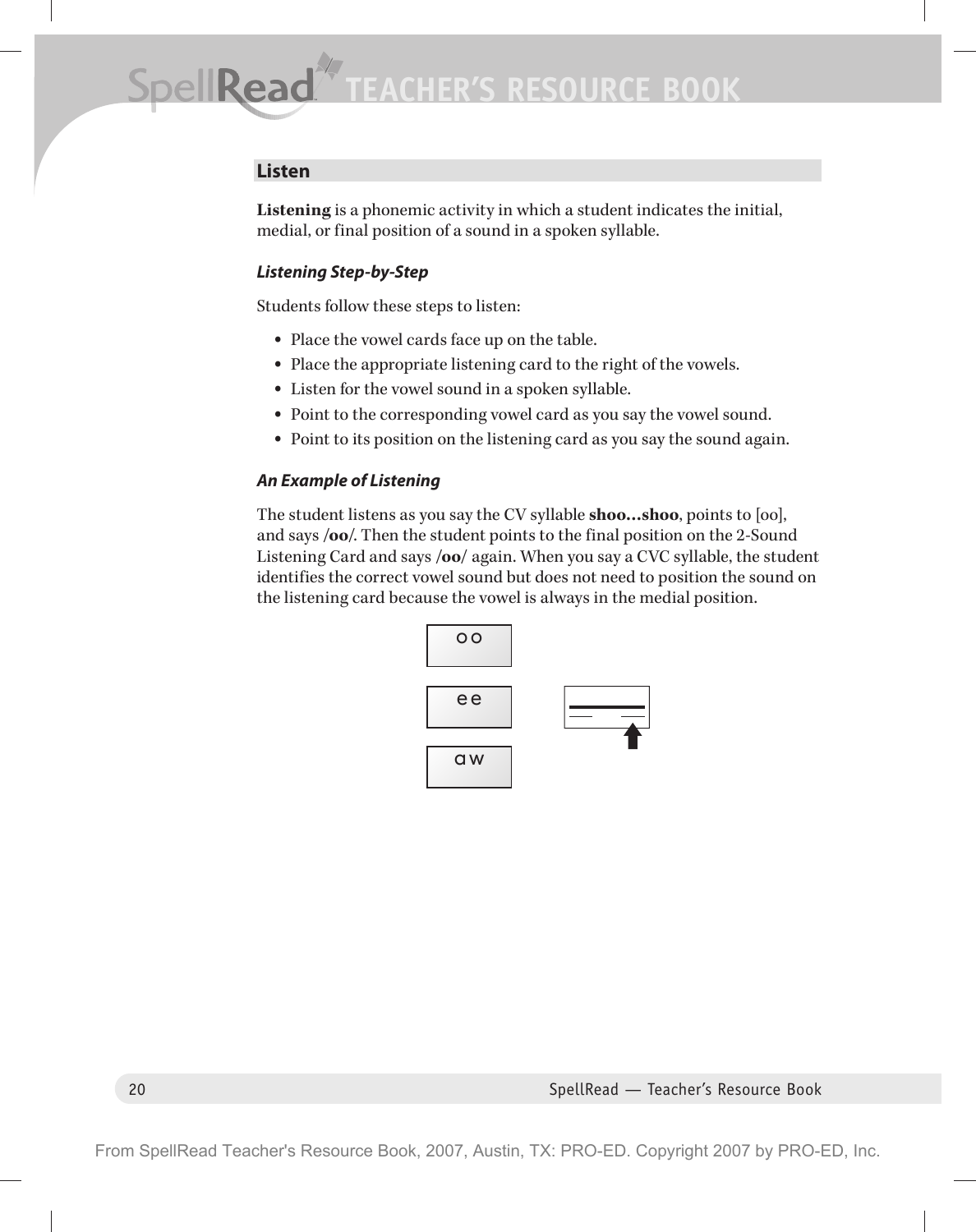## **Listen**

**Listening** is a phonemic activity in which a student indicates the initial, medial, or final position of a sound in a spoken syllable.

## *Listening Step-by-Step*

Students follow these steps to listen:

- Place the vowel cards face up on the table.
- Place the appropriate listening card to the right of the vowels.
- Listen for the vowel sound in a spoken syllable.
- Point to the corresponding vowel card as you say the vowel sound.
- Point to its position on the listening card as you say the sound again.

## *An Example of Listening*

The student listens as you say the CV syllable **shoo…shoo**, points to [oo], and says **/oo/**. Then the student points to the final position on the 2-Sound Listening Card and says **/oo/** again. When you say a CVC syllable, the student identifies the correct vowel sound but does not need to position the sound on the listening card because the vowel is always in the medial position.



20 SpellRead — Teacher's Resource Book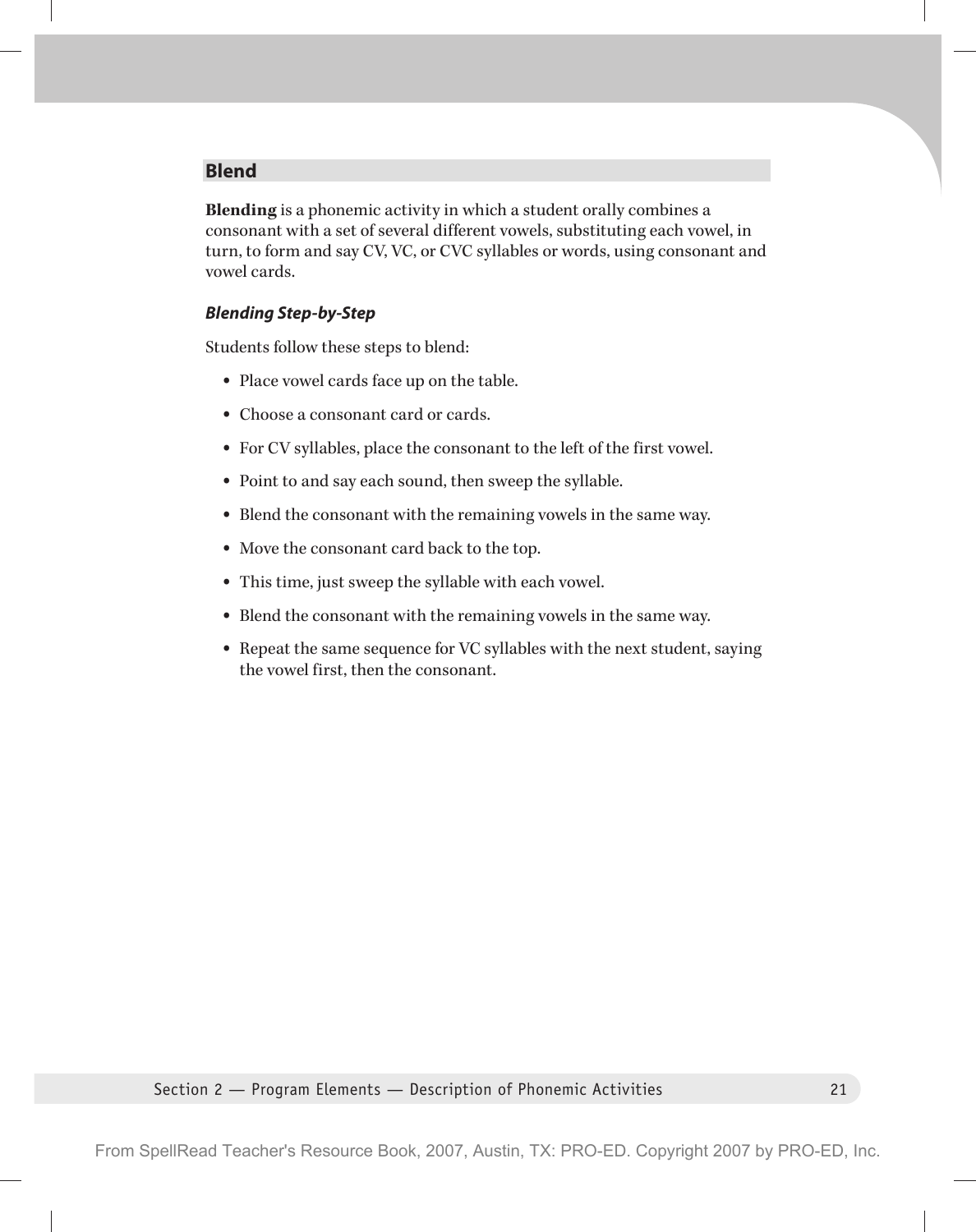## **Blend**

**Blending** is a phonemic activity in which a student orally combines a consonant with a set of several different vowels, substituting each vowel, in turn, to form and say CV, VC, or CVC syllables or words, using consonant and vowel cards.

#### *Blending Step-by-Step*

Students follow these steps to blend:

- Place vowel cards face up on the table.
- Choose a consonant card or cards.
- For CV syllables, place the consonant to the left of the first vowel.
- Point to and say each sound, then sweep the syllable.
- Blend the consonant with the remaining vowels in the same way.
- Move the consonant card back to the top.
- This time, just sweep the syllable with each vowel.
- Blend the consonant with the remaining vowels in the same way.
- Repeat the same sequence for VC syllables with the next student, saying the vowel first, then the consonant.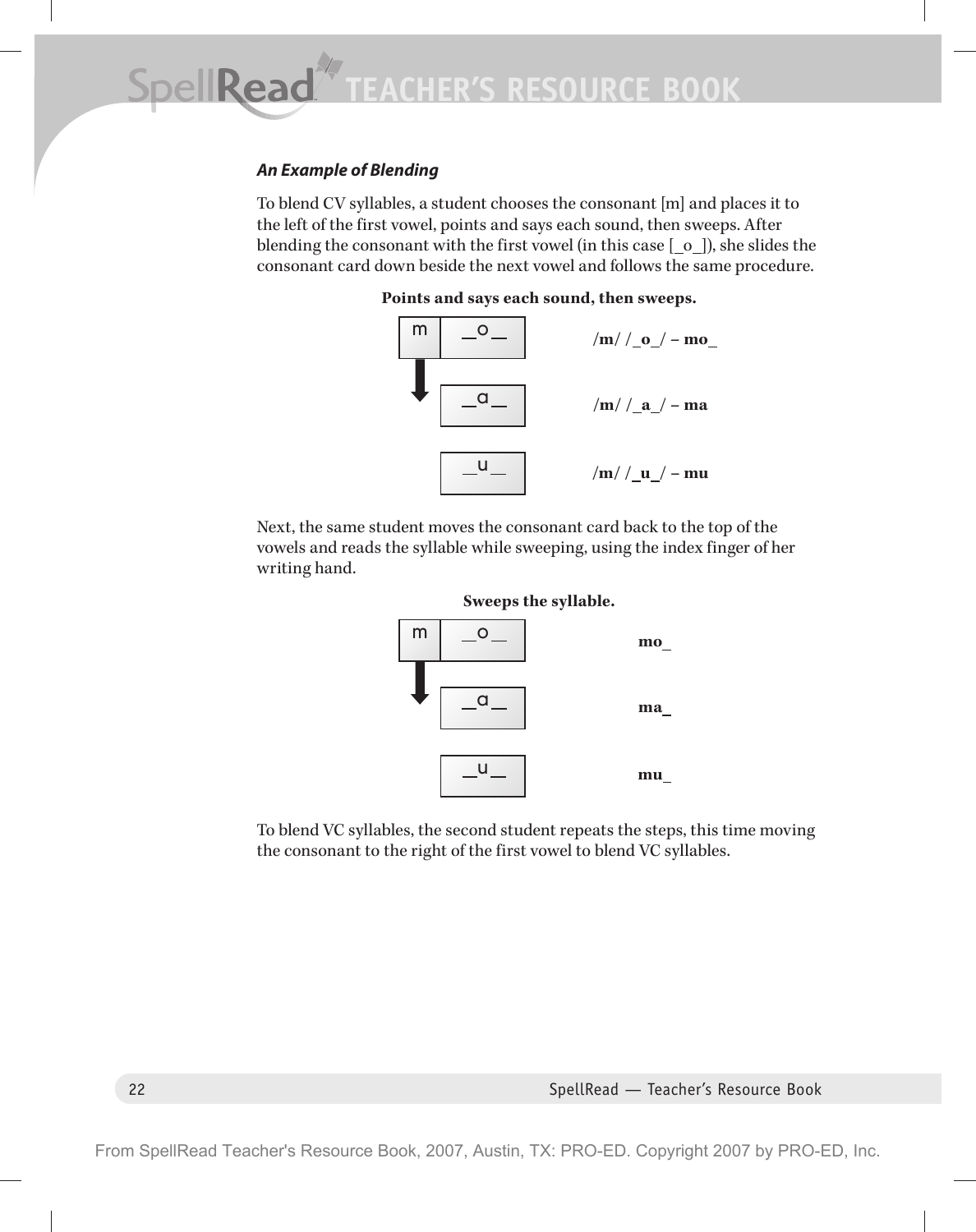## *An Example of Blending*

To blend CV syllables, a student chooses the consonant [m] and places it to the left of the first vowel, points and says each sound, then sweeps. After blending the consonant with the first vowel (in this case  $\lbrack 0 \rbrack$ ), she slides the consonant card down beside the next vowel and follows the same procedure.



Next, the same student moves the consonant card back to the top of the vowels and reads the syllable while sweeping, using the index finger of her writing hand.





To blend VC syllables, the second student repeats the steps, this time moving the consonant to the right of the first vowel to blend VC syllables.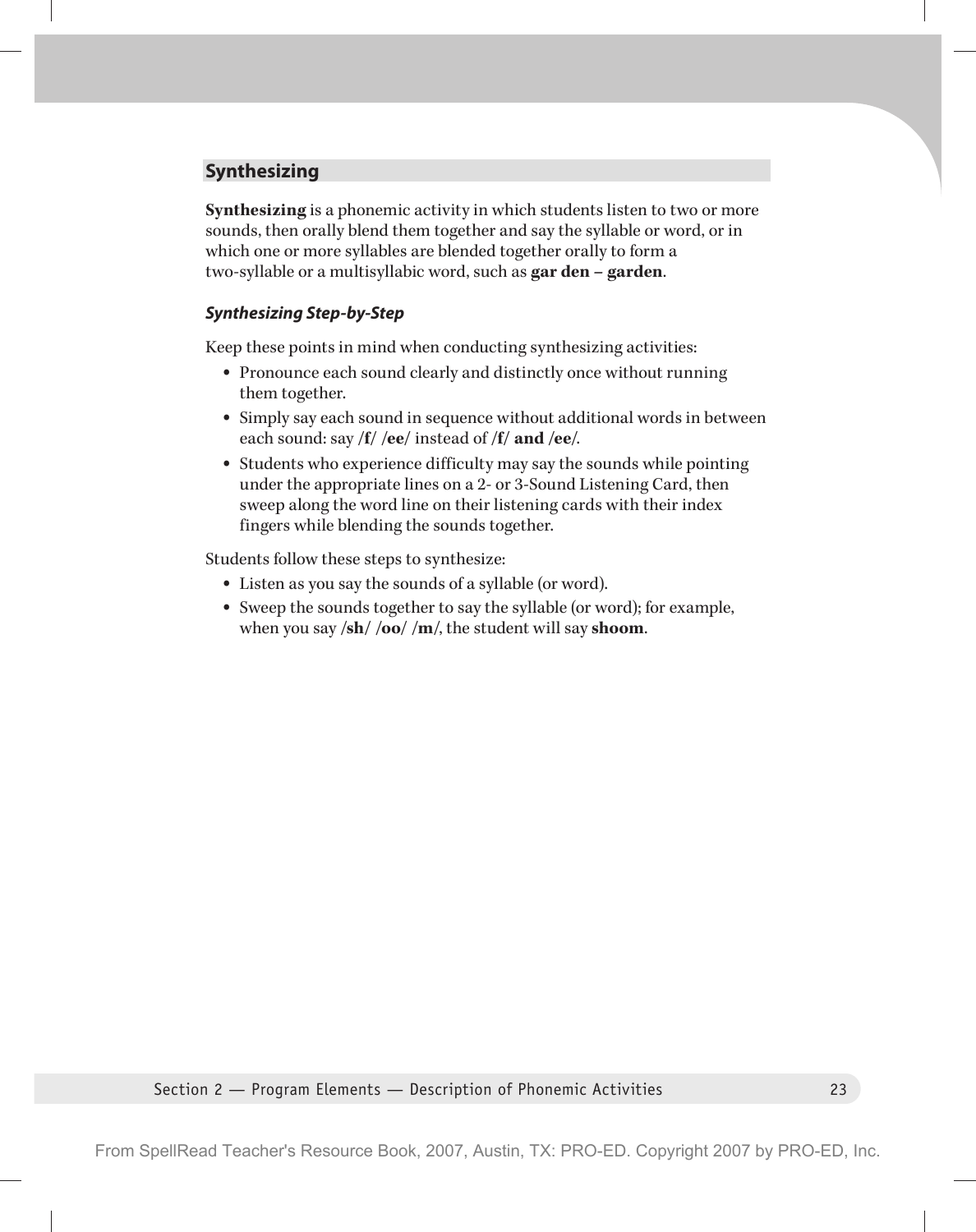## **Synthesizing**

**Synthesizing** is a phonemic activity in which students listen to two or more sounds, then orally blend them together and say the syllable or word, or in which one or more syllables are blended together orally to form a two-syllable or a multisyllabic word, such as **gar den – garden**.

## *Synthesizing Step-by-Step*

Keep these points in mind when conducting synthesizing activities:

- Pronounce each sound clearly and distinctly once without running them together.
- Simply say each sound in sequence without additional words in between each sound: say **/f/ /ee/** instead of **/f/ and /ee/**.
- Students who experience difficulty may say the sounds while pointing under the appropriate lines on a 2- or 3-Sound Listening Card, then sweep along the word line on their listening cards with their index fingers while blending the sounds together.

Students follow these steps to synthesize:

- Listen as you say the sounds of a syllable (or word).
- Sweep the sounds together to say the syllable (or word); for example, when you say **/sh/ /oo/ /m/**, the student will say **shoom**.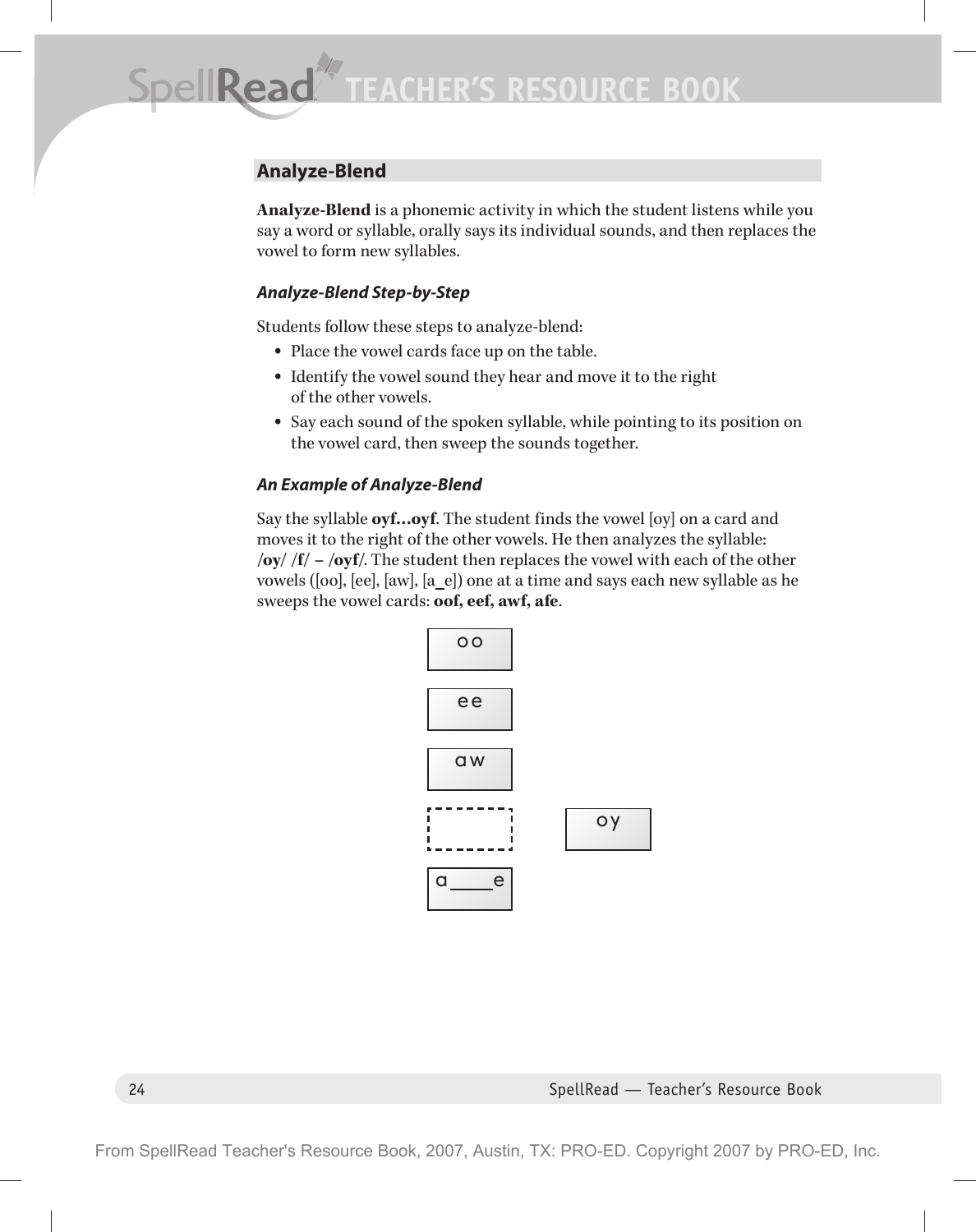# **Analyze-Blend**

**Analyze-Blend** is a phonemic activity in which the student listens while you say a word or syllable, orally says its individual sounds, and then replaces the vowel to form new syllables.

#### *Analyze-Blend Step-by-Step*

Students follow these steps to analyze-blend:

- Place the vowel cards face up on the table.
- Identify the vowel sound they hear and move it to the right of the other vowels.
- Say each sound of the spoken syllable, while pointing to its position on the vowel card, then sweep the sounds together.

### *An Example of Analyze-Blend*

Say the syllable **oyf…oyf**. The student finds the vowel [oy] on a card and moves it to the right of the other vowels. He then analyzes the syllable: **/oy/ /f/ – /oyf/**. The student then replaces the vowel with each of the other vowels ([oo], [ee], [aw], [a\_e]) one at a time and says each new syllable as he sweeps the vowel cards: **oof, eef, awf, afe**.

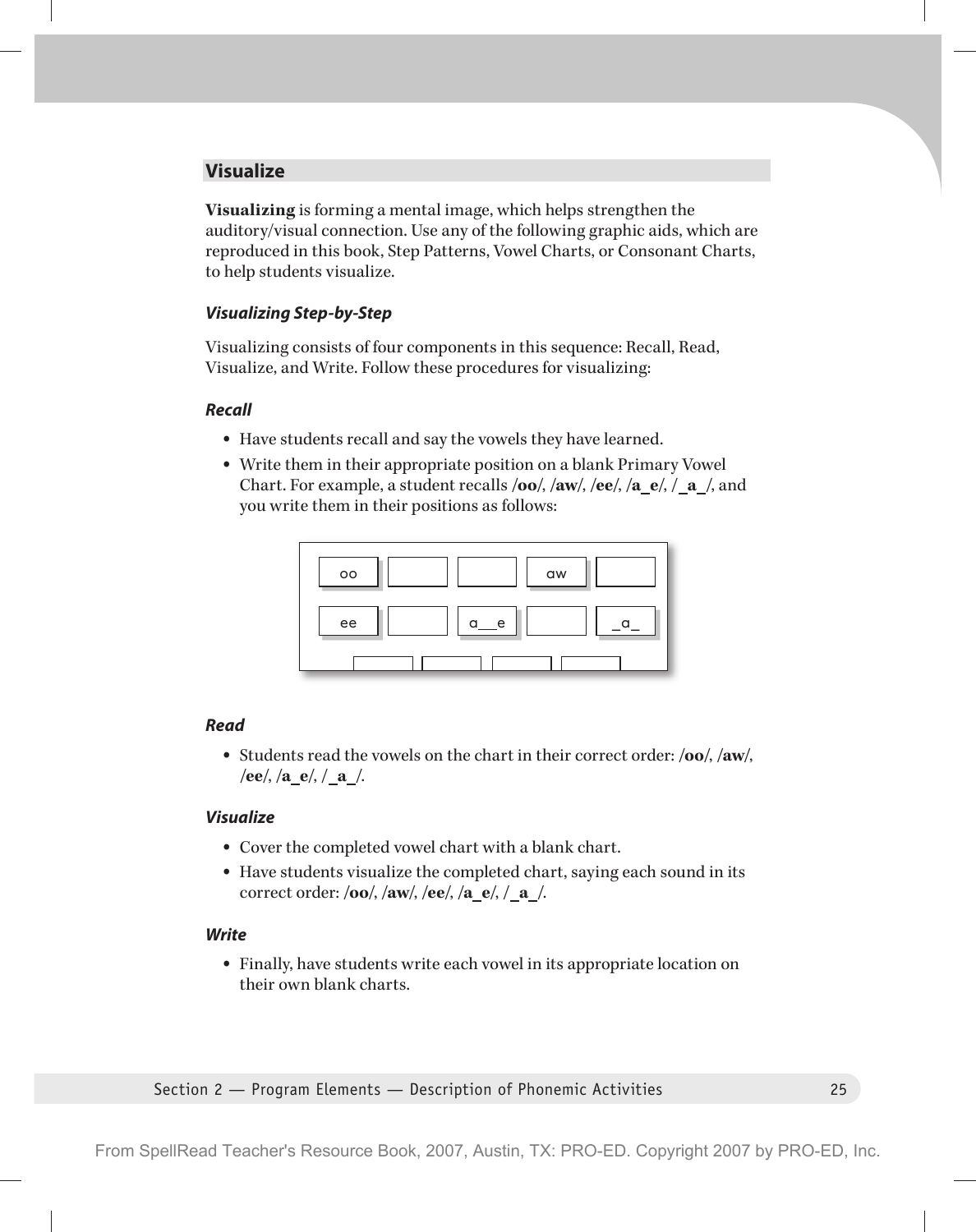## **Visualize**

**Visualizing** is forming a mental image, which helps strengthen the auditory/visual connection. Use any of the following graphic aids, which are reproduced in this book, Step Patterns, Vowel Charts, or Consonant Charts, to help students visualize.

#### *Visualizing Step-by-Step*

Visualizing consists of four components in this sequence: Recall, Read, Visualize, and Write. Follow these procedures for visualizing:

#### *Recall*

- Have students recall and say the vowels they have learned.
- Write them in their appropriate position on a blank Primary Vowel Chart. For example, a student recalls **/oo/**, **/aw/**, **/ee/**, **/a e/**, **/ a /**, and you write them in their positions as follows:



#### *Read*

• Students read the vowels on the chart in their correct order: **/oo/**, **/aw/**, **/ee/**, **/a e/**, **/ a /**.

#### *Visualize*

- Cover the completed vowel chart with a blank chart.
- Have students visualize the completed chart, saying each sound in its correct order: **/oo/**, **/aw/**, **/ee/**, **/a e/**, **/ a /**.

#### *Write*

• Finally, have students write each vowel in its appropriate location on their own blank charts.

Section 2 — Program Elements — Description of Phonemic Activities 25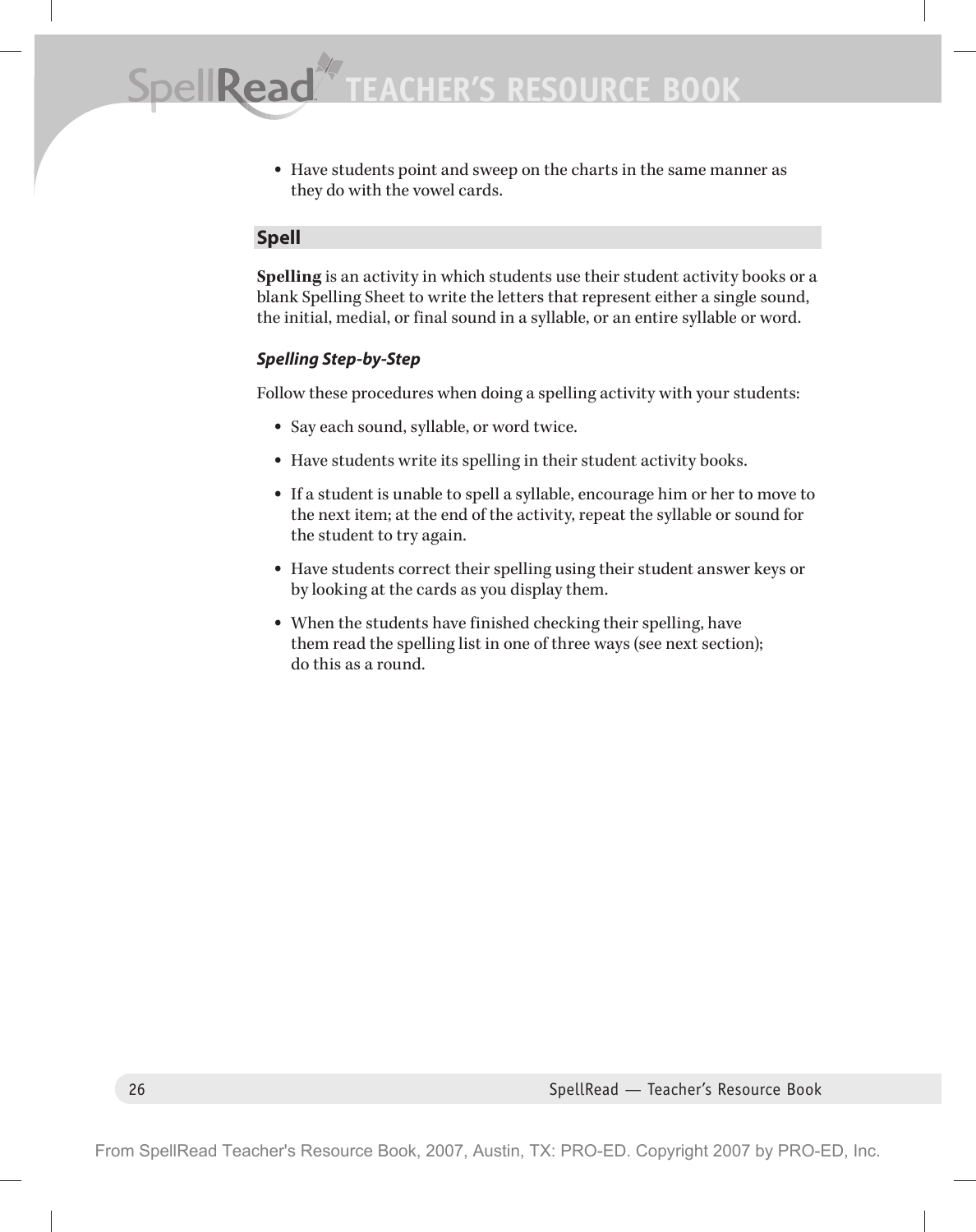• Have students point and sweep on the charts in the same manner as they do with the vowel cards.

## **Spell**

**Spelling** is an activity in which students use their student activity books or a blank Spelling Sheet to write the letters that represent either a single sound, the initial, medial, or final sound in a syllable, or an entire syllable or word.

## *Spelling Step-by-Step*

Follow these procedures when doing a spelling activity with your students:

- Say each sound, syllable, or word twice.
- Have students write its spelling in their student activity books.
- If a student is unable to spell a syllable, encourage him or her to move to the next item; at the end of the activity, repeat the syllable or sound for the student to try again.
- Have students correct their spelling using their student answer keys or by looking at the cards as you display them.
- When the students have finished checking their spelling, have them read the spelling list in one of three ways (see next section); do this as a round.